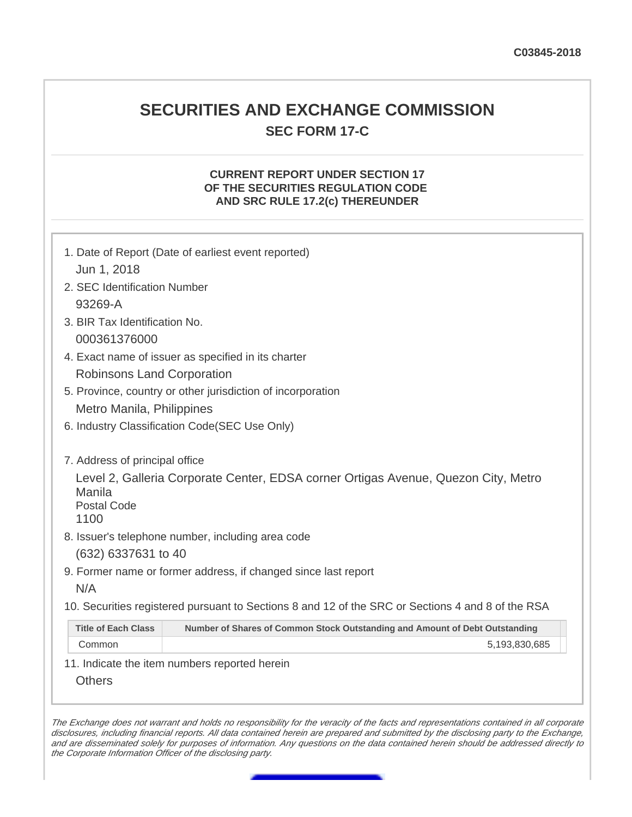## **SECURITIES AND EXCHANGE COMMISSION SEC FORM 17-C**

## **CURRENT REPORT UNDER SECTION 17 OF THE SECURITIES REGULATION CODE AND SRC RULE 17.2(c) THEREUNDER**

|                                      | 1. Date of Report (Date of earliest event reported)                                                                                     |
|--------------------------------------|-----------------------------------------------------------------------------------------------------------------------------------------|
| Jun 1, 2018                          |                                                                                                                                         |
| 2. SEC Identification Number         |                                                                                                                                         |
| 93269-A                              |                                                                                                                                         |
| 3. BIR Tax Identification No.        |                                                                                                                                         |
| 000361376000                         |                                                                                                                                         |
|                                      | 4. Exact name of issuer as specified in its charter                                                                                     |
| <b>Robinsons Land Corporation</b>    |                                                                                                                                         |
|                                      | 5. Province, country or other jurisdiction of incorporation                                                                             |
| Metro Manila, Philippines            |                                                                                                                                         |
|                                      | 6. Industry Classification Code(SEC Use Only)                                                                                           |
| Manila<br><b>Postal Code</b><br>1100 | Level 2, Galleria Corporate Center, EDSA corner Ortigas Avenue, Quezon City, Metro<br>8. Issuer's telephone number, including area code |
| (632) 6337631 to 40                  |                                                                                                                                         |
|                                      | 9. Former name or former address, if changed since last report                                                                          |
| N/A                                  |                                                                                                                                         |
|                                      | 10. Securities registered pursuant to Sections 8 and 12 of the SRC or Sections 4 and 8 of the RSA                                       |
| <b>Title of Each Class</b>           | Number of Shares of Common Stock Outstanding and Amount of Debt Outstanding                                                             |
| Common                               | 5,193,830,685                                                                                                                           |
| <b>Others</b>                        | 11. Indicate the item numbers reported herein                                                                                           |

The Exchange does not warrant and holds no responsibility for the veracity of the facts and representations contained in all corporate disclosures, including financial reports. All data contained herein are prepared and submitted by the disclosing party to the Exchange, and are disseminated solely for purposes of information. Any questions on the data contained herein should be addressed directly to the Corporate Information Officer of the disclosing party.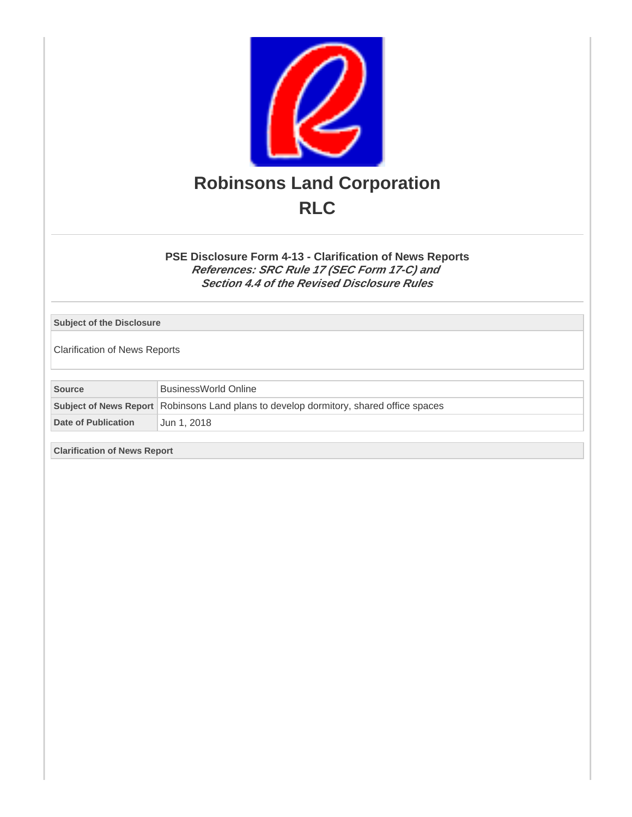

**PSE Disclosure Form 4-13 - Clarification of News Reports References: SRC Rule 17 (SEC Form 17-C) and Section 4.4 of the Revised Disclosure Rules**

**Subject of the Disclosure**

Clarification of News Reports

| <b>Source</b>       | BusinessWorld Online                                                                   |  |
|---------------------|----------------------------------------------------------------------------------------|--|
|                     | Subject of News Report Robinsons Land plans to develop dormitory, shared office spaces |  |
| Date of Publication | Jun 1. 2018                                                                            |  |

**Clarification of News Report**